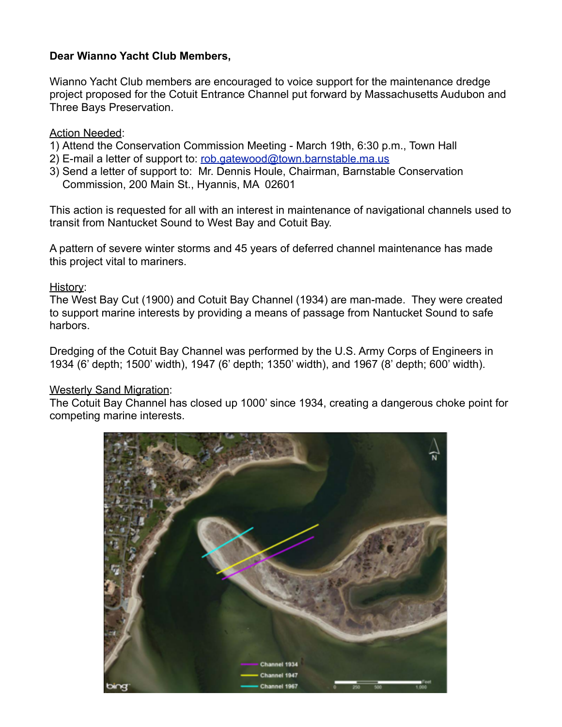# **Dear Wianno Yacht Club Members,**

Wianno Yacht Club members are encouraged to voice support for the maintenance dredge project proposed for the Cotuit Entrance Channel put forward by Massachusetts Audubon and Three Bays Preservation.

### Action Needed:

- 1) Attend the Conservation Commission Meeting March 19th, 6:30 p.m., Town Hall
- 2) E-mail a letter of support to: [rob.gatewood@town.barnstable.ma.us](mailto:rob.gatewood@town.barnstable.ma.us)
- 3) Send a letter of support to: Mr. Dennis Houle, Chairman, Barnstable Conservation Commission, 200 Main St., Hyannis, MA 02601

This action is requested for all with an interest in maintenance of navigational channels used to transit from Nantucket Sound to West Bay and Cotuit Bay.

A pattern of severe winter storms and 45 years of deferred channel maintenance has made this project vital to mariners.

# History:

The West Bay Cut (1900) and Cotuit Bay Channel (1934) are man-made. They were created to support marine interests by providing a means of passage from Nantucket Sound to safe harbors.

Dredging of the Cotuit Bay Channel was performed by the U.S. Army Corps of Engineers in 1934 (6' depth; 1500' width), 1947 (6' depth; 1350' width), and 1967 (8' depth; 600' width).

# Westerly Sand Migration:

The Cotuit Bay Channel has closed up 1000' since 1934, creating a dangerous choke point for competing marine interests.